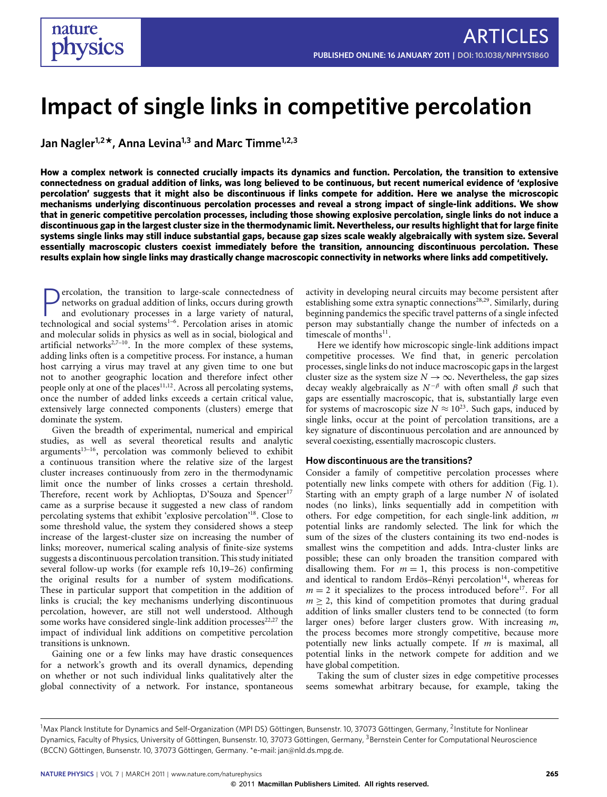# **Impact of single links in competitive percolation**

**Jan Nagler1,2\*, Anna Levina1,3 and Marc Timme1,2,3**

**How a complex network is connected crucially impacts its dynamics and function. Percolation, the transition to extensive connectedness on gradual addition of links, was long believed to be continuous, but recent numerical evidence of 'explosive percolation' suggests that it might also be discontinuous if links compete for addition. Here we analyse the microscopic mechanisms underlying discontinuous percolation processes and reveal a strong impact of single-link additions. We show that in generic competitive percolation processes, including those showing explosive percolation, single links do not induce a discontinuous gap in the largest cluster size in the thermodynamic limit. Nevertheless, our results highlight that for large finite systems single links may still induce substantial gaps, because gap sizes scale weakly algebraically with system size. Several essentially macroscopic clusters coexist immediately before the transition, announcing discontinuous percolation. These results explain how single links may drastically change macroscopic connectivity in networks where links add competitively.**

**P** ercolation, the transition to large-scale connectedness of networks on gradual addition of links, occurs during growth and evolutionary processes in a large variety of natural, technological and social systems<sup>[1](#page-4-0)-6</sup>. Pe ercolation, the transition to large-scale connectedness of networks on gradual addition of links, occurs during growth and evolutionary processes in a large variety of natural, and molecular solids in physics as well as in social, biological and artificial networks<sup>[2](#page-4-2)[,7](#page-4-3)-10</sup>. In the more complex of these systems, adding links often is a competitive process. For instance, a human host carrying a virus may travel at any given time to one but not to another geographic location and therefore infect other people only at one of the places<sup>[11](#page-4-5)[,12](#page-4-6)</sup>. Across all percolating systems, once the number of added links exceeds a certain critical value, extensively large connected components (clusters) emerge that dominate the system.

Given the breadth of experimental, numerical and empirical studies, as well as several theoretical results and analytic arguments<sup>[13](#page-4-7)-16</sup>, percolation was commonly believed to exhibit a continuous transition where the relative size of the largest cluster increases continuously from zero in the thermodynamic limit once the number of links crosses a certain threshold. Therefore, recent work by Achlioptas, D'Souza and Spencer<sup>[17](#page-4-9)</sup> came as a surprise because it suggested a new class of random percolating systems that exhibit 'explosive percolation'[18](#page-4-10). Close to some threshold value, the system they considered shows a steep increase of the largest-cluster size on increasing the number of links; moreover, numerical scaling analysis of finite-size systems suggests a discontinuous percolation transition. This study initiated several follow-up works (for example refs [10,](#page-4-4)[19–](#page-4-11)[26\)](#page-4-12) confirming the original results for a number of system modifications. These in particular support that competition in the addition of links is crucial; the key mechanisms underlying discontinuous percolation, however, are still not well understood. Although some works have considered single-link addition processes $22,27$  $22,27$  the impact of individual link additions on competitive percolation transitions is unknown.

Gaining one or a few links may have drastic consequences for a network's growth and its overall dynamics, depending on whether or not such individual links qualitatively alter the global connectivity of a network. For instance, spontaneous activity in developing neural circuits may become persistent after establishing some extra synaptic connections<sup>[28](#page-4-15)[,29](#page-4-16)</sup>. Similarly, during beginning pandemics the specific travel patterns of a single infected person may substantially change the number of infecteds on a timescale of months<sup>[11](#page-4-5)</sup>.

Here we identify how microscopic single-link additions impact competitive processes. We find that, in generic percolation processes, single links do not induce macroscopic gaps in the largest cluster size as the system size  $N \to \infty$ . Nevertheless, the gap sizes decay weakly algebraically as  $N^{-\beta}$  with often small  $\beta$  such that gaps are essentially macroscopic, that is, substantially large even for systems of macroscopic size  $N \approx 10^{23}$ . Such gaps, induced by single links, occur at the point of percolation transitions, are a key signature of discontinuous percolation and are announced by several coexisting, essentially macroscopic clusters.

#### **How discontinuous are the transitions?**

Consider a family of competitive percolation processes where potentially new links compete with others for addition [\(Fig. 1\)](#page-1-0). Starting with an empty graph of a large number *N* of isolated nodes (no links), links sequentially add in competition with others. For edge competition, for each single-link addition, *m* potential links are randomly selected. The link for which the sum of the sizes of the clusters containing its two end-nodes is smallest wins the competition and adds. Intra-cluster links are possible; these can only broaden the transition compared with disallowing them. For  $m = 1$ , this process is non-competitive and identical to random Erdös–Rényi percolation<sup>[14](#page-4-17)</sup>, whereas for  $m = 2$  it specializes to the process introduced before<sup>[17](#page-4-9)</sup>. For all  $m > 2$ , this kind of competition promotes that during gradual addition of links smaller clusters tend to be connected (to form larger ones) before larger clusters grow. With increasing *m*, the process becomes more strongly competitive, because more potentially new links actually compete. If *m* is maximal, all potential links in the network compete for addition and we have global competition.

Taking the sum of cluster sizes in edge competitive processes seems somewhat arbitrary because, for example, taking the

<sup>&</sup>lt;sup>1</sup>Max Planck Institute for Dynamics and Self-Organization (MPI DS) Göttingen, Bunsenstr. 10, 37073 Göttingen, Germany, <sup>2</sup>Institute for Nonlinear Dynamics, Faculty of Physics, University of Göttingen, Bunsenstr. 10, 37073 Göttingen, Germany, <sup>3</sup>Bernstein Center for Computational Neuroscience (BCCN) Göttingen, Bunsenstr. 10, 37073 Göttingen, Germany. \*e-mail: [jan@nld.ds.mpg.de.](mailto:jan@nld.ds.mpg.de)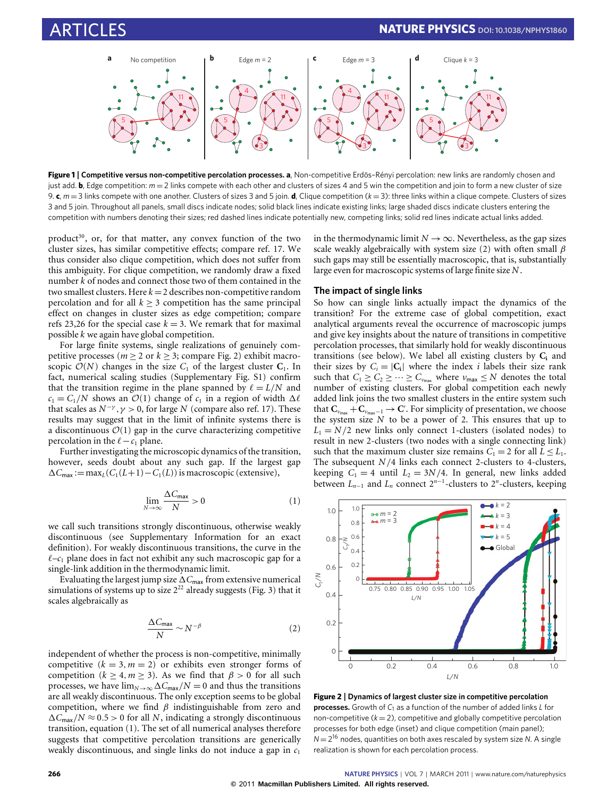

<span id="page-1-0"></span>**Figure 1** | **Competitive versus non-competitive percolation processes. a**, Non-competitive Erdös–Rényi percolation: new links are randomly chosen and just add. **b**, Edge competition:  $m = 2$  links compete with each other and clusters of sizes 4 and 5 win the competition and join to form a new cluster of size 9. **c**, *m* = 3 links compete with one another. Clusters of sizes 3 and 5 join. **d**, Clique competition (*k* = 3): three links within a clique compete. Clusters of sizes 3 and 5 join. Throughout all panels, small discs indicate nodes; solid black lines indicate existing links; large shaded discs indicate clusters entering the competition with numbers denoting their sizes; red dashed lines indicate potentially new, competing links; solid red lines indicate actual links added.

product<sup>[30](#page-4-18)</sup>, or, for that matter, any convex function of the two cluster sizes, has similar competitive effects; compare ref. [17.](#page-4-9) We thus consider also clique competition, which does not suffer from this ambiguity. For clique competition, we randomly draw a fixed number *k* of nodes and connect those two of them contained in the two smallest clusters. Here  $k = 2$  describes non-competitive random percolation and for all  $k > 3$  competition has the same principal effect on changes in cluster sizes as edge competition; compare refs [23](#page-4-19)[,26](#page-4-12) for the special case  $k = 3$ . We remark that for maximal possible *k* we again have global competition.

For large finite systems, single realizations of genuinely competitive processes ( $m \ge 2$  or  $k \ge 3$ ; compare [Fig. 2\)](#page-1-1) exhibit macroscopic  $\mathcal{O}(N)$  changes in the size  $C_1$  of the largest cluster  $C_1$ . In fact, numerical scaling studies (Supplementary Fig. S1) confirm that the transition regime in the plane spanned by  $\ell = L/N$  and  $c_1 = C_1/N$  shows an  $\mathcal{O}(1)$  change of  $c_1$  in a region of width  $\Delta \ell$ that scales as  $N^{-\gamma}$ ,  $\gamma > 0$ , for large *N* (compare also ref. [17\)](#page-4-9). These results may suggest that in the limit of infinite systems there is a discontinuous  $\mathcal{O}(1)$  gap in the curve characterizing competitive percolation in the  $\ell - c_1$  plane.

Further investigating the microscopic dynamics of the transition, however, seeds doubt about any such gap. If the largest gap  $\Delta C_{\text{max}} := \max_{L} (C_1(L+1) - C_1(L))$  is macroscopic (extensive),

$$
\lim_{N \to \infty} \frac{\Delta C_{\text{max}}}{N} > 0
$$
\n(1)

<span id="page-1-2"></span>we call such transitions strongly discontinuous, otherwise weakly discontinuous (see Supplementary Information for an exact definition). For weakly discontinuous transitions, the curve in the  $\ell$ – $c_1$  plane does in fact not exhibit any such macroscopic gap for a single-link addition in the thermodynamic limit.

Evaluating the largest jump size  $\Delta C_{\text{max}}$  from extensive numerical simulations of systems up to size  $2^{22}$  already suggests [\(Fig. 3\)](#page-2-0) that it scales algebraically as

$$
\frac{\Delta C_{\text{max}}}{N} \sim N^{-\beta} \tag{2}
$$

<span id="page-1-3"></span>independent of whether the process is non-competitive, minimally competitive  $(k = 3, m = 2)$  or exhibits even stronger forms of competition ( $k \ge 4, m \ge 3$ ). As we find that  $\beta > 0$  for all such processes, we have  $\lim_{N\to\infty} \Delta C_{\text{max}}/N = 0$  and thus the transitions are all weakly discontinuous. The only exception seems to be global competition, where we find  $\beta$  indistinguishable from zero and  $\Delta C_{\text{max}}/N \approx 0.5 > 0$  for all *N*, indicating a strongly discontinuous transition, equation [\(1\)](#page-1-2). The set of all numerical analyses therefore suggests that competitive percolation transitions are generically weakly discontinuous, and single links do not induce a gap in *c*<sup>1</sup>

in the thermodynamic limit  $N \to \infty$ . Nevertheless, as the gap sizes scale weakly algebraically with system size [\(2\)](#page-1-3) with often small  $\beta$ such gaps may still be essentially macroscopic, that is, substantially large even for macroscopic systems of large finite size *N*.

### **The impact of single links**

So how can single links actually impact the dynamics of the transition? For the extreme case of global competition, exact analytical arguments reveal the occurrence of macroscopic jumps and give key insights about the nature of transitions in competitive percolation processes, that similarly hold for weakly discontinuous transitions (see below). We label all existing clusters by **C<sup>i</sup>** and their sizes by  $C_i = |C_i|$  where the index *i* labels their size rank such that  $C_1 \geq C_2 \geq \cdots \geq C_{\nu_{\text{max}}}$  where  $\nu_{\text{max}} \leq N$  denotes the total number of existing clusters. For global competition each newly added link joins the two smallest clusters in the entire system such that  $\mathbf{C}_{\nu_{\sf max}} + \mathbf{C}_{\nu_{\sf max}-1} \to \mathbf{C}'$ . For simplicity of presentation, we choose the system size *N* to be a power of 2. This ensures that up to  $L_1 = N/2$  new links only connect 1-clusters (isolated nodes) to result in new 2-clusters (two nodes with a single connecting link) such that the maximum cluster size remains  $C_1 = 2$  for all  $L \leq L_1$ . The subsequent *N*/4 links each connect 2-clusters to 4-clusters, keeping  $C_1 = 4$  until  $L_2 = 3N/4$ . In general, new links added between  $L_{n-1}$  and  $L_n$  connect  $2^{n-1}$ -clusters to  $2^n$ -clusters, keeping



<span id="page-1-1"></span>**Figure 2** | **Dynamics of largest cluster size in competitive percolation processes.** Growth of *C*<sup>1</sup> as a function of the number of added links *L* for non-competitive  $(k = 2)$ , competitive and globally competitive percolation processes for both edge (inset) and clique competition (main panel);  $N = 2^{16}$  nodes, quantities on both axes rescaled by system size *N*. A single realization is shown for each percolation process.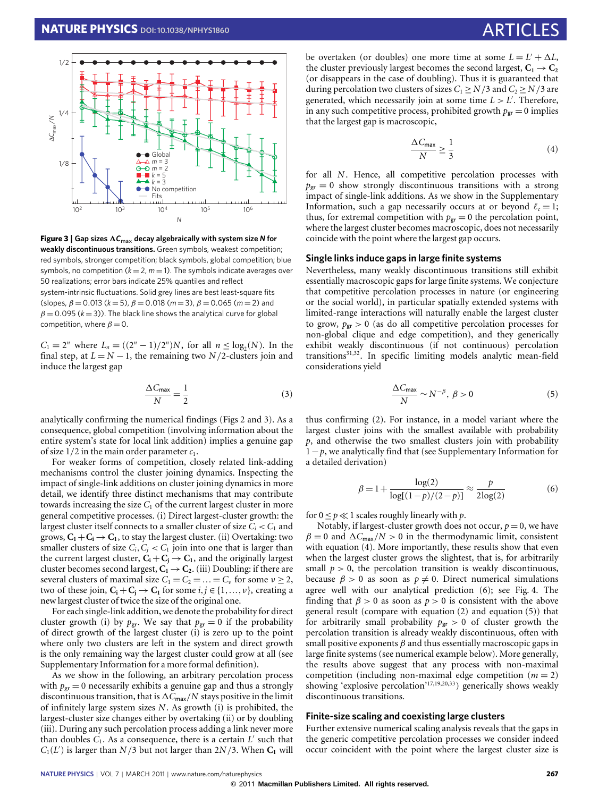

<span id="page-2-0"></span>**Figure 3** | Gap sizes  $\Delta C_{\text{max}}$  decay algebraically with system size N for **weakly discontinuous transitions.** Green symbols, weakest competition; red symbols, stronger competition; black symbols, global competition; blue symbols, no competition  $(k = 2, m = 1)$ . The symbols indicate averages over 50 realizations; error bars indicate 25% quantiles and reflect system-intrinsic fluctuations. Solid grey lines are best least-square fits (slopes,  $\beta = 0.013$  ( $k = 5$ ),  $\beta = 0.018$  ( $m = 3$ ),  $\beta = 0.065$  ( $m = 2$ ) and  $\beta = 0.095$  ( $k = 3$ )). The black line shows the analytical curve for global competition, where  $\beta = 0$ .

*C*<sub>1</sub> =  $2^n$  where *L<sub>n</sub>* = (( $2^n - 1$ )/ $2^n$ )*N*, for all *n* ≤ log<sub>2</sub>(*N*). In the final step, at  $L = N - 1$ , the remaining two  $N/2$ -clusters join and induce the largest gap

$$
\frac{\Delta C_{\text{max}}}{N} = \frac{1}{2} \tag{3}
$$

analytically confirming the numerical findings [\(Figs 2](#page-1-1) and [3\)](#page-2-0). As a consequence, global competition (involving information about the entire system's state for local link addition) implies a genuine gap of size  $1/2$  in the main order parameter  $c_1$ .

For weaker forms of competition, closely related link-adding mechanisms control the cluster joining dynamics. Inspecting the impact of single-link additions on cluster joining dynamics in more detail, we identify three distinct mechanisms that may contribute towards increasing the size  $C_1$  of the current largest cluster in more general competitive processes. (i) Direct largest-cluster growth: the largest cluster itself connects to a smaller cluster of size  $C_i < C_1$  and grows,  $C_1 + C_1 \rightarrow C_1$ , to stay the largest cluster. (ii) Overtaking: two smaller clusters of size  $C_i$ ,  $C_j$  <  $C_1$  join into one that is larger than the current largest cluster,  $C_i + C_j \rightarrow C_1$ , and the originally largest cluster becomes second largest,  $C_1 \rightarrow C_2$ . (iii) Doubling: if there are several clusters of maximal size  $C_1 = C_2 = \ldots = C_\nu$  for some  $\nu \geq 2$ , two of these join,  $C_i + C_j \rightarrow C_1$  for some  $i, j \in \{1, ..., v\}$ , creating a new largest cluster of twice the size of the original one.

For each single-link addition, we denote the probability for direct cluster growth (i) by  $p_{gr}$ . We say that  $p_{gr} = 0$  if the probability of direct growth of the largest cluster (i) is zero up to the point where only two clusters are left in the system and direct growth is the only remaining way the largest cluster could grow at all (see Supplementary Information for a more formal definition).

As we show in the following, an arbitrary percolation process with  $p_{\text{gr}} = 0$  necessarily exhibits a genuine gap and thus a strongly discontinuous transition, that is  $\Delta C_{\textsf{max}}/N$  stays positive in the limit of infinitely large system sizes *N*. As growth (i) is prohibited, the largest-cluster size changes either by overtaking (ii) or by doubling (iii). During any such percolation process adding a link never more than doubles  $C_1$ . As a consequence, there is a certain  $L'$  such that  $C_1(L')$  is larger than  $N/3$  but not larger than  $2N/3$ . When  $C_1$  will

be overtaken (or doubles) one more time at some  $L = L' + \Delta L$ , the cluster previously largest becomes the second largest,  $C_1 \rightarrow C_2$ (or disappears in the case of doubling). Thus it is guaranteed that during percolation two clusters of sizes  $C_1 \ge N/3$  and  $C_2 \ge N/3$  are generated, which necessarily join at some time  $L > L'$ . Therefore, in any such competitive process, prohibited growth  $p_{\text{gr}} = 0$  implies that the largest gap is macroscopic,

$$
\frac{\Delta C_{\text{max}}}{N} \ge \frac{1}{3} \tag{4}
$$

<span id="page-2-1"></span>for all *N*. Hence, all competitive percolation processes with  $p_{\text{gr}} = 0$  show strongly discontinuous transitions with a strong impact of single-link additions. As we show in the Supplementary Information, such a gap necessarily occurs at or beyond  $\ell_c = 1$ ; thus, for extremal competition with  $p_{\text{gr}} = 0$  the percolation point, where the largest cluster becomes macroscopic, does not necessarily coincide with the point where the largest gap occurs.

#### **Single links induce gaps in large finite systems**

Nevertheless, many weakly discontinuous transitions still exhibit essentially macroscopic gaps for large finite systems. We conjecture that competitive percolation processes in nature (or engineering or the social world), in particular spatially extended systems with limited-range interactions will naturally enable the largest cluster to grow,  $p_{gr} > 0$  (as do all competitive percolation processes for non-global clique and edge competition), and they generically exhibit weakly discontinuous (if not continuous) percolation transitions<sup>[31,](#page-4-20)[32](#page-5-0)</sup>. In specific limiting models analytic mean-field considerations yield

$$
\frac{\Delta C_{\text{max}}}{N} \sim N^{-\beta}, \ \beta > 0 \tag{5}
$$

<span id="page-2-3"></span>thus confirming [\(2\)](#page-1-3). For instance, in a model variant where the largest cluster joins with the smallest available with probability *p*, and otherwise the two smallest clusters join with probability 1−*p*, we analytically find that (see Supplementary Information for a detailed derivation)

$$
\beta = 1 + \frac{\log(2)}{\log[(1-p)/(2-p)]} \approx \frac{p}{2\log(2)}\tag{6}
$$

<span id="page-2-2"></span>for  $0 \le p \ll 1$  scales roughly linearly with *p*.

Notably, if largest-cluster growth does not occur,  $p = 0$ , we have  $\beta = 0$  and  $\Delta C_{\text{max}}/N > 0$  in the thermodynamic limit, consistent with equation [\(4\)](#page-2-1). More importantly, these results show that even when the largest cluster grows the slightest, that is, for arbitrarily small  $p > 0$ , the percolation transition is weakly discontinuous, because  $\beta > 0$  as soon as  $p \neq 0$ . Direct numerical simulations agree well with our analytical prediction [\(6\)](#page-2-2); see [Fig. 4.](#page-3-0) The finding that  $\beta > 0$  as soon as  $p > 0$  is consistent with the above general result (compare with equation [\(2\)](#page-1-3) and equation [\(5\)](#page-2-3)) that for arbitrarily small probability  $p_{gr} > 0$  of cluster growth the percolation transition is already weakly discontinuous, often with small positive exponents  $\beta$  and thus essentially macroscopic gaps in large finite systems (see numerical example below). More generally, the results above suggest that any process with non-maximal competition (including non-maximal edge competition  $(m = 2)$ ) showing 'explosive percolation'[17](#page-4-9)[,19,](#page-4-11)[20](#page-4-21)[,33](#page-5-1)) generically shows weakly discontinuous transitions.

#### **Finite-size scaling and coexisting large clusters**

Further extensive numerical scaling analysis reveals that the gaps in the generic competitive percolation processes we consider indeed occur coincident with the point where the largest cluster size is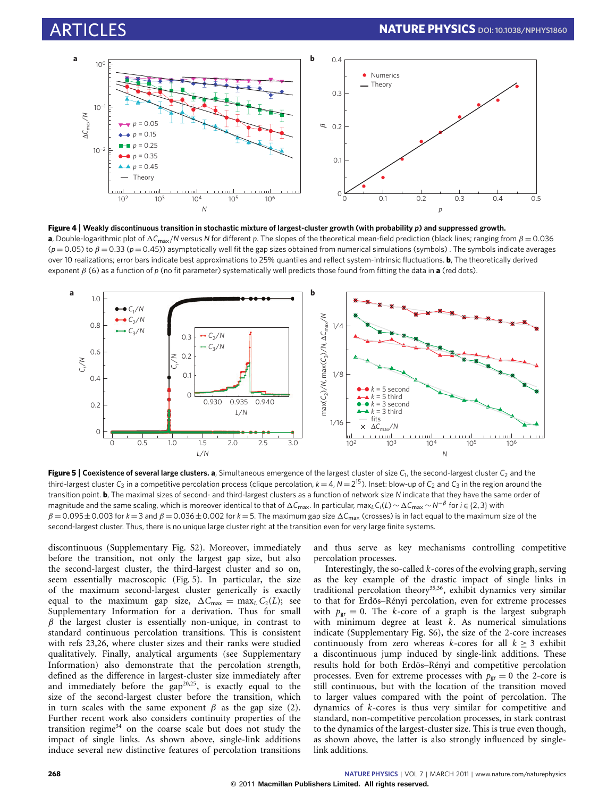

<span id="page-3-0"></span>**Figure 4** | **Weakly discontinuous transition in stochastic mixture of largest-cluster growth (with probability** *p***) and suppressed growth. a**, Double-logarithmic plot of  $\Delta C_{\text{max}}/N$  versus *N* for different *p*. The slopes of the theoretical mean-field prediction (black lines; ranging from  $\beta = 0.036$ (*p* = 0.05) to β = 0.33 (*p* = 0.45)) asymptotically well fit the gap sizes obtained from numerical simulations (symbols) . The symbols indicate averages over 10 realizations; error bars indicate best approximations to 25% quantiles and reflect system-intrinsic fluctuations. **b**, The theoretically derived exponent β [\(6\)](#page-2-2) as a function of *p* (no fit parameter) systematically well predicts those found from fitting the data in **a** (red dots).



<span id="page-3-1"></span>**Figure 5** | **Coexistence of several large clusters. a**, Simultaneous emergence of the largest cluster of size *C*<sup>1</sup> , the second-largest cluster *C*<sup>2</sup> and the third-largest cluster  $C_3$  in a competitive percolation process (clique percolation,  $k = 4$ ,  $N = 2^{15}$ ). Inset: blow-up of  $C_2$  and  $C_3$  in the region around the transition point. **b**, The maximal sizes of second- and third-largest clusters as a function of network size *N* indicate that they have the same order of magnitude and the same scaling, which is moreover identical to that of ΔC<sub>max</sub>. In particular, max<sub>*L*</sub>C<sub>*i*</sub>(*L*) ∼ ΔC<sub>max</sub> ∼ *N*<sup>−β</sup> for *i* ∈ {2,3} with  $\beta = 0.095 \pm 0.003$  for  $k = 3$  and  $\beta = 0.036 \pm 0.002$  for  $k = 5$ . The maximum gap size  $\Delta C_{\text{max}}$  (crosses) is in fact equal to the maximum size of the second-largest cluster. Thus, there is no unique large cluster right at the transition even for very large finite systems.

discontinuous (Supplementary Fig. S2). Moreover, immediately before the transition, not only the largest gap size, but also the second-largest cluster, the third-largest cluster and so on, seem essentially macroscopic [\(Fig. 5\)](#page-3-1). In particular, the size of the maximum second-largest cluster generically is exactly equal to the maximum gap size,  $\Delta C_{\text{max}} = \max_{L} C_2(L)$ ; see Supplementary Information for a derivation. Thus for small  $\beta$  the largest cluster is essentially non-unique, in contrast to standard continuous percolation transitions. This is consistent with refs [23](#page-4-19)[,26,](#page-4-12) where cluster sizes and their ranks were studied qualitatively. Finally, analytical arguments (see Supplementary Information) also demonstrate that the percolation strength, defined as the difference in largest-cluster size immediately after and immediately before the  $\frac{1}{2}$  gap<sup>[20,](#page-4-21)[25](#page-4-22)</sup>, is exactly equal to the size of the second-largest cluster before the transition, which in turn scales with the same exponent  $\beta$  as the gap size [\(2\)](#page-1-3). Further recent work also considers continuity properties of the transition regime $34$  on the coarse scale but does not study the impact of single links. As shown above, single-link additions induce several new distinctive features of percolation transitions

and thus serve as key mechanisms controlling competitive percolation processes.

Interestingly, the so-called *k*-cores of the evolving graph, serving as the key example of the drastic impact of single links in traditional percolation theory<sup>[35](#page-5-3)[,36](#page-5-4)</sup>, exhibit dynamics very similar to that for Erdös–Rényi percolation, even for extreme processes with  $p_{gr} = 0$ . The *k*-core of a graph is the largest subgraph with minimum degree at least *k*. As numerical simulations indicate (Supplementary Fig. S6), the size of the 2-core increases continuously from zero whereas *k*-cores for all  $k \geq 3$  exhibit a discontinuous jump induced by single-link additions. These results hold for both Erdös–Rényi and competitive percolation processes. Even for extreme processes with  $p_{gr} = 0$  the 2-core is still continuous, but with the location of the transition moved to larger values compared with the point of percolation. The dynamics of *k*-cores is thus very similar for competitive and standard, non-competitive percolation processes, in stark contrast to the dynamics of the largest-cluster size. This is true even though, as shown above, the latter is also strongly influenced by singlelink additions.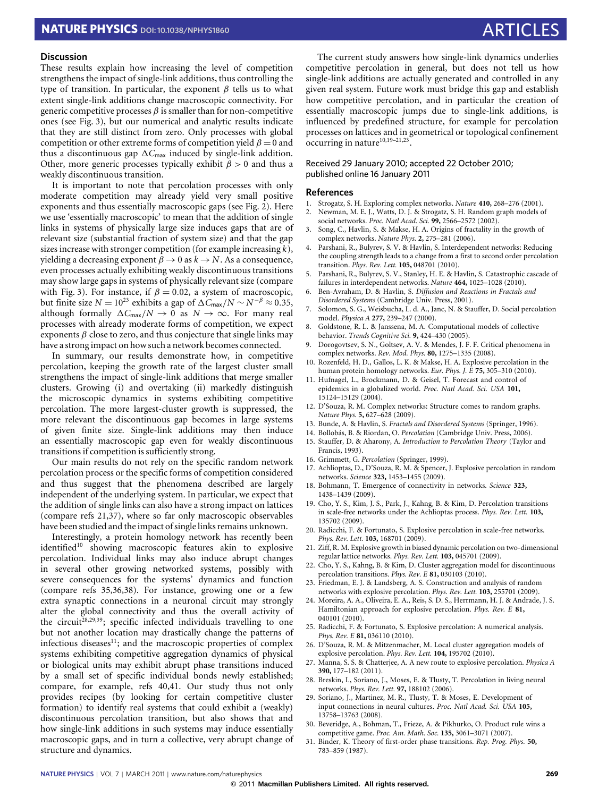# **NATURE PHYSICS** DOI[: 10.1038/NPHYS1860](http://www.nature.com/doifinder/10.1038/nphys1860) ARTICLES

### **Discussion**

These results explain how increasing the level of competition strengthens the impact of single-link additions, thus controlling the type of transition. In particular, the exponent  $\beta$  tells us to what extent single-link additions change macroscopic connectivity. For generic competitive processes  $\beta$  is smaller than for non-competitive ones (see [Fig. 3\)](#page-2-0), but our numerical and analytic results indicate that they are still distinct from zero. Only processes with global competition or other extreme forms of competition yield  $\beta = 0$  and thus a discontinuous gap  $\Delta C_{\text{max}}$  induced by single-link addition. Other, more generic processes typically exhibit  $\beta > 0$  and thus a weakly discontinuous transition.

It is important to note that percolation processes with only moderate competition may already yield very small positive exponents and thus essentially macroscopic gaps (see [Fig. 2\)](#page-1-1). Here we use 'essentially macroscopic' to mean that the addition of single links in systems of physically large size induces gaps that are of relevant size (substantial fraction of system size) and that the gap sizes increase with stronger competition (for example increasing *k*), yielding a decreasing exponent  $\beta \rightarrow 0$  as  $k \rightarrow N$ . As a consequence, even processes actually exhibiting weakly discontinuous transitions may show large gaps in systems of physically relevant size (compare with [Fig. 3\)](#page-2-0). For instance, if  $\beta = 0.02$ , a system of macroscopic, but finite size *N* =  $10^{23}$  exhibits a gap of  $\Delta C_{\text{max}}/N \sim N^{-\beta} \approx 0.35$ , although formally  $\Delta C_{\text{max}}/N \rightarrow 0$  as  $N \rightarrow \infty$ . For many real processes with already moderate forms of competition, we expect exponents  $\beta$  close to zero, and thus conjecture that single links may have a strong impact on how such a network becomes connected.

In summary, our results demonstrate how, in competitive percolation, keeping the growth rate of the largest cluster small strengthens the impact of single-link additions that merge smaller clusters. Growing (i) and overtaking (ii) markedly distinguish the microscopic dynamics in systems exhibiting competitive percolation. The more largest-cluster growth is suppressed, the more relevant the discontinuous gap becomes in large systems of given finite size. Single-link additions may then induce an essentially macroscopic gap even for weakly discontinuous transitions if competition is sufficiently strong.

Our main results do not rely on the specific random network percolation process or the specific forms of competition considered and thus suggest that the phenomena described are largely independent of the underlying system. In particular, we expect that the addition of single links can also have a strong impact on lattices (compare refs [21](#page-4-23)[,37\)](#page-5-5), where so far only macroscopic observables have been studied and the impact of single links remains unknown.

Interestingly, a protein homology network has recently been identified<sup>[10](#page-4-4)</sup> showing macroscopic features akin to explosive percolation. Individual links may also induce abrupt changes in several other growing networked systems, possibly with severe consequences for the systems' dynamics and function (compare refs [35,](#page-5-3)[36](#page-5-4)[,38\)](#page-5-6). For instance, growing one or a few extra synaptic connections in a neuronal circuit may strongly alter the global connectivity and thus the overall activity of the circuit<sup>[28,](#page-4-15)[29](#page-4-16)[,39](#page-5-7)</sup>; specific infected individuals travelling to one but not another location may drastically change the patterns of infectious diseases<sup>[11](#page-4-5)</sup>; and the macroscopic properties of complex systems exhibiting competitive aggregation dynamics of physical or biological units may exhibit abrupt phase transitions induced by a small set of specific individual bonds newly established; compare, for example, refs [40,](#page-5-8)[41.](#page-5-9) Our study thus not only provides recipes (by looking for certain competitive cluster formation) to identify real systems that could exhibit a (weakly) discontinuous percolation transition, but also shows that and how single-link additions in such systems may induce essentially macroscopic gaps, and in turn a collective, very abrupt change of structure and dynamics.

The current study answers how single-link dynamics underlies competitive percolation in general, but does not tell us how single-link additions are actually generated and controlled in any given real system. Future work must bridge this gap and establish how competitive percolation, and in particular the creation of essentially macroscopic jumps due to single-link additions, is influenced by predefined structure, for example for percolation processes on lattices and in geometrical or topological confinement occurring in nature $10,19-21,23$  $10,19-21,23$  $10,19-21,23$  $10,19-21,23$ .

### Received 29 January 2010; accepted 22 October 2010; published online 16 January 2011

#### **References**

- <span id="page-4-0"></span>1. Strogatz, S. H. Exploring complex networks. *Nature* **410,** 268–276 (2001).
- <span id="page-4-2"></span>2. Newman, M. E. J., Watts, D. J. & Strogatz, S. H. Random graph models of social networks. *Proc. Natl Acad. Sci.* **99,** 2566–2572 (2002).
- 3. Song, C., Havlin, S. & Makse, H. A. Origins of fractality in the growth of complex networks. *Nature Phys.* **2,** 275–281 (2006).
- 4. Parshani, R., Bulyrev, S. V. & Havlin, S. Interdependent networks: Reducing the coupling strength leads to a change from a first to second order percolation transition. *Phys. Rev. Lett.* **105,** 048701 (2010).
- 5. Parshani, R., Bulyrev, S. V., Stanley, H. E. & Havlin, S. Catastrophic cascade of failures in interdependent networks. *Nature* **464,** 1025–1028 (2010).
- <span id="page-4-1"></span>6. Ben-Avraham, D. & Havlin, S. *Diffusion and Reactions in Fractals and Disordered Systems* (Cambridge Univ. Press, 2001).
- <span id="page-4-3"></span>7. Solomon, S. G., Weisbucha, L. d. A., Janc, N. & Stauffer, D. Social percolation model. *Physica A* **277,** 239–247 (2000).
- 8. Goldstone, R. L. & Janssena, M. A. Computational models of collective behavior. *Trends Cognitive Sci.* **9,** 424–430 (2005).
- 9. Dorogovtsev, S. N., Goltsev, A. V. & Mendes, J. F. F. Critical phenomena in complex networks. *Rev. Mod. Phys.* **80,** 1275–1335 (2008).
- <span id="page-4-4"></span>10. Rozenfeld, H. D., Gallos, L. K. & Makse, H. A. Explosive percolation in the human protein homology networks. *Eur. Phys. J. E* **75,** 305–310 (2010).
- <span id="page-4-5"></span>11. Hufnagel, L., Brockmann, D. & Geisel, T. Forecast and control of epidemics in a globalized world. *Proc. Natl Acad. Sci. USA* **101,** 15124–15129 (2004).
- <span id="page-4-6"></span>12. D'Souza, R. M. Complex networks: Structure comes to random graphs. *Nature Phys.* **5,** 627–628 (2009).
- <span id="page-4-7"></span>13. Bunde, A. & Havlin, S. *Fractals and Disordered Systems* (Springer, 1996).
- <span id="page-4-17"></span>14. Bollobás, B. & Riordan, O. *Percolation* (Cambridge Univ. Press, 2006).
- 15. Stauffer, D. & Aharony, A. *Introduction to Percolation Theory* (Taylor and Francis, 1993).
- <span id="page-4-8"></span>16. Grimmett, G. *Percolation* (Springer, 1999).
- <span id="page-4-9"></span>17. Achlioptas, D., D'Souza, R. M. & Spencer, J. Explosive percolation in random networks. *Science* **323,** 1453–1455 (2009).
- <span id="page-4-10"></span>18. Bohmann, T. Emergence of connectivity in networks. *Science* **323,** 1438–1439 (2009).
- <span id="page-4-11"></span>19. Cho, Y. S., Kim, J. S., Park, J., Kahng, B. & Kim, D. Percolation transitions in scale-free networks under the Achlioptas process. *Phys. Rev. Lett.* **103,** 135702 (2009).
- <span id="page-4-21"></span>20. Radicchi, F. & Fortunato, S. Explosive percolation in scale-free networks. *Phys. Rev. Lett.* **103,** 168701 (2009).
- <span id="page-4-23"></span>21. Ziff, R. M. Explosive growth in biased dynamic percolation on two-dimensional regular lattice networks. *Phys. Rev. Lett.* **103,** 045701 (2009).
- <span id="page-4-13"></span>22. Cho, Y. S., Kahng, B. & Kim, D. Cluster aggregation model for discontinuous percolation transitions. *Phys. Rev. E* **81,** 030103 (2010).
- <span id="page-4-19"></span>23. Friedman, E. J. & Landsberg, A. S. Construction and analysis of random networks with explosive percolation. *Phys. Rev. Lett.* **103,** 255701 (2009).
- 24. Moreira, A. A., Oliveira, E. A., Reis, S. D. S., Herrmann, H. J. & Andrade, J. S. Hamiltonian approach for explosive percolation. *Phys. Rev. E* **81,** 040101 (2010).
- <span id="page-4-22"></span>25. Radicchi, F. & Fortunato, S. Explosive percolation: A numerical analysis. *Phys. Rev. E* **81,** 036110 (2010).
- <span id="page-4-12"></span>26. D'Souza, R. M. & Mitzenmacher, M. Local cluster aggregation models of explosive percolation. *Phys. Rev. Lett.* **104,** 195702 (2010).
- <span id="page-4-14"></span>27. Manna, S. S. & Chatterjee, A. A new route to explosive percolation. *Physica A* **390,** 177–182 (2011).
- <span id="page-4-15"></span>28. Breskin, I., Soriano, J., Moses, E. & Tlusty, T. Percolation in living neural networks. *Phys. Rev. Lett.* **97,** 188102 (2006).
- <span id="page-4-16"></span>29. Soriano, J., Martinez, M. R., Tlusty, T. & Moses, E. Development of input connections in neural cultures. *Proc. Natl Acad. Sci. USA* **105,** 13758–13763 (2008).
- <span id="page-4-18"></span>30. Beveridge, A., Bohman, T., Frieze, A. & Pikhurko, O. Product rule wins a competitive game. *Proc. Am. Math. Soc.* **135,** 3061–3071 (2007).
- <span id="page-4-20"></span>31. Binder, K. Theory of first-order phase transitions. *Rep. Prog. Phys.* **50,** 783–859 (1987).